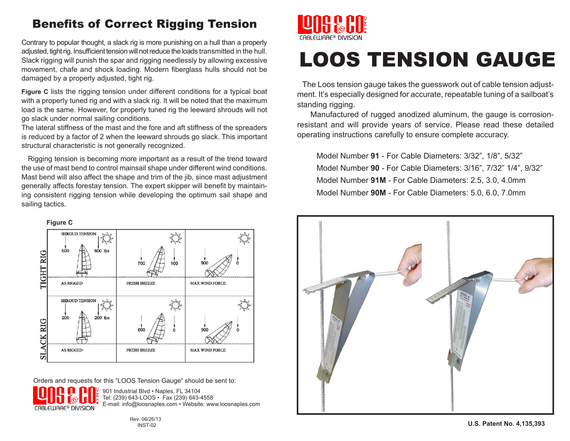# Benefits of Correct Rigging Tension

Contrary to popular thought, a slack rig is more punishing on a hull than a properly adjusted, tight rig. Insufficient tension will not reduce the loads transmitted in the hull. Slack rigging will punish the spar and rigging needlessly by allowing excessive movement, chafe and shock loading. Modern fiberglass hulls should not be damaged by a properly adjusted, tight rig.

**Figure C** lists the rigging tension under different conditions for a typical boat with a properly tuned rig and with a slack rig. It will be noted that the maximum load is the same. However, for properly tuned rig the leeward shrouds will not go slack under normal sailing conditions.

The lateral stiffness of the mast and the fore and aft stiffness of the spreaders is reduced by a factor of 2 when the leeward shrouds go slack. This important structural characteristic is not generally recognized.

 Rigging tension is becoming more important as a result of the trend toward the use of mast bend to control mainsail shape under different wind conditions. Mast bend will also affect the shape and trim of the jib, since mast adjustment generally affects forestay tension. The expert skipper will benefit by maintaining consistent rigging tension while developing the optimum sail shape and sailing tactics.



Orders and requests for this "LOOS Tension Gauge" should be sent to:

901 Industrial Blvd · Naples, FL 34104 Tel: (239) 643-LOOS • Fax (239) 643-4558 E-mail: info@loosnaples.com • Website: www.loosnaples.com CABLEWARE® DIVISION



# LOOS TENSION GAUGE

 The Loos tension gauge takes the guesswork out of cable tension adjustment. It's especially designed for accurate, repeatable tuning of a sailboat's standing rigging.

 Manufactured of rugged anodized aluminum, the gauge is corrosionresistant and will provide years of service. Please read these detailed operating instructions carefully to ensure complete accuracy.

Model Number **91** - For Cable Diameters: 3/32", 1/8", 5/32" Model Number **90** - For Cable Diameters: 3/16", 7/32" 1/4", 9/32" Model Number **91M** - For Cable Diameters: 2.5, 3.0, 4.0mm Model Number **90M** - For Cable Diameters: 5.0, 6.0, 7.0mm